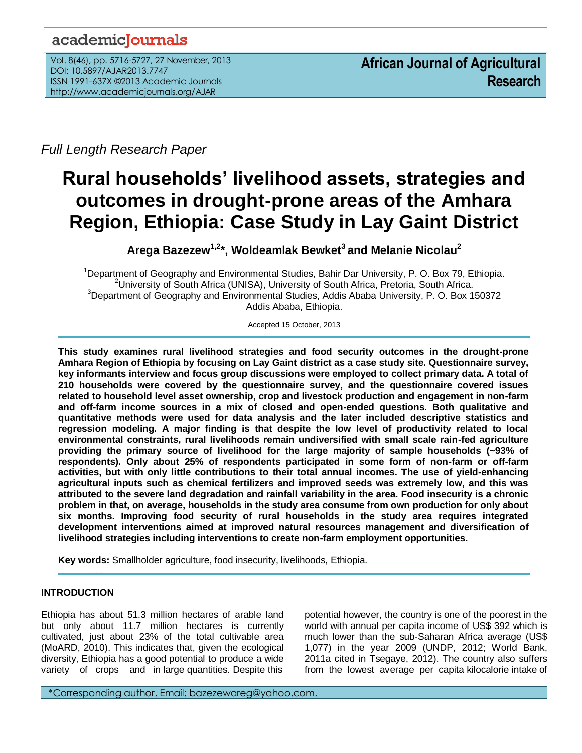## academicJournals

Vol. 8(46), pp. 5716-5727, 27 November, 2013 DOI: 10.5897/AJAR2013.7747 ISSN 1991-637X ©2013 Academic Journals http://www.academicjournals.org/AJAR

*Full Length Research Paper*

# **Rural households' livelihood assets, strategies and outcomes in drought-prone areas of the Amhara Region, Ethiopia: Case Study in Lay Gaint District**

**Arega Bazezew1,2\*, Woldeamlak Bewket<sup>3</sup>and Melanie Nicolau<sup>2</sup>**

Department of Geography and Environmental Studies, Bahir Dar University, P. O. Box 79, Ethiopia. University of South Africa (UNISA), University of South Africa, Pretoria, South Africa. Department of Geography and Environmental Studies, Addis Ababa University, P. O. Box 150372 Addis Ababa, Ethiopia.

Accepted 15 October, 2013

**This study examines rural livelihood strategies and food security outcomes in the drought-prone Amhara Region of Ethiopia by focusing on Lay Gaint district as a case study site. Questionnaire survey, key informants interview and focus group discussions were employed to collect primary data. A total of 210 households were covered by the questionnaire survey, and the questionnaire covered issues related to household level asset ownership, crop and livestock production and engagement in non-farm and off-farm income sources in a mix of closed and open-ended questions. Both qualitative and quantitative methods were used for data analysis and the later included descriptive statistics and regression modeling. A major finding is that despite the low level of productivity related to local environmental constraints, rural livelihoods remain undiversified with small scale rain-fed agriculture providing the primary source of livelihood for the large majority of sample households (~93% of respondents). Only about 25% of respondents participated in some form of non-farm or off-farm activities, but with only little contributions to their total annual incomes. The use of yield-enhancing agricultural inputs such as chemical fertilizers and improved seeds was extremely low, and this was attributed to the severe land degradation and rainfall variability in the area. Food insecurity is a chronic problem in that, on average, households in the study area consume from own production for only about six months. Improving food security of rural households in the study area requires integrated development interventions aimed at improved natural resources management and diversification of livelihood strategies including interventions to create non-farm employment opportunities.**

**Key words:** Smallholder agriculture, food insecurity, livelihoods, Ethiopia.

## **INTRODUCTION**

...*.*

Ethiopia has about 51.3 million hectares of arable land but only about 11.7 million hectares is currently cultivated, just about 23% of the total cultivable area (MoARD, 2010). This indicates that, given the ecological diversity, Ethiopia has a good potential to produce a wide variety of crops and in large quantities. Despite this

potential however, the country is one of the poorest in the world with annual per capita income of US\$ 392 which is much lower than the sub-Saharan Africa average (US\$ 1,077) in the year 2009 (UNDP, 2012; World Bank, 2011a cited in Tsegaye, 2012). The country also suffers from the lowest average per capita kilocalorie intake of

\*Corresponding author. Email: bazezewareg@yahoo.com.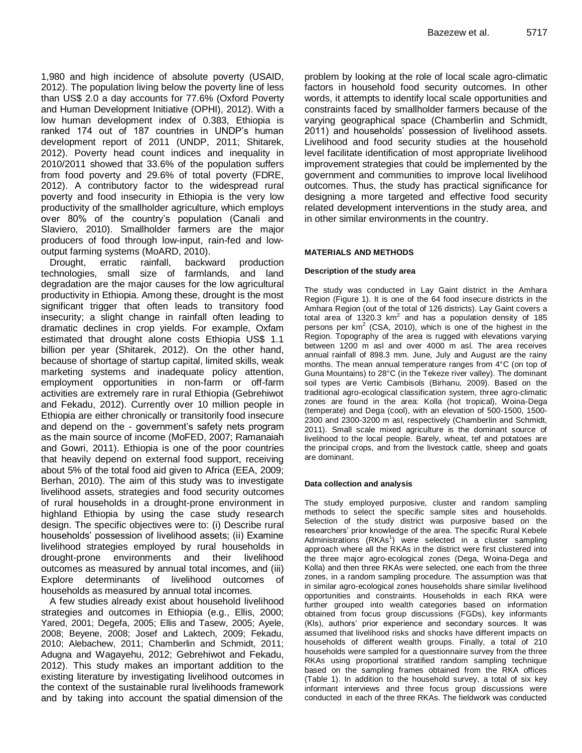1,980 and high incidence of absolute poverty (USAID, 2012). The population living below the poverty line of less than US\$ 2.0 a day accounts for 77.6% (Oxford Poverty and Human Development Initiative (OPHI), 2012). With a low human development index of 0.383, Ethiopia is ranked 174 out of 187 countries in UNDP's human development report of 2011 (UNDP, 2011; Shitarek, 2012). Poverty head count indices and inequality in 2010/2011 showed that 33.6% of the population suffers from food poverty and 29.6% of total poverty (FDRE, 2012). A contributory factor to the widespread rural poverty and food insecurity in Ethiopia is the very low productivity of the smallholder agriculture, which employs over 80% of the country's population (Canali and Slaviero, 2010). Smallholder farmers are the major producers of food through low-input, rain-fed and lowoutput farming systems (MoARD, 2010).

Drought, erratic rainfall, backward production technologies, small size of farmlands, and land degradation are the major causes for the low agricultural productivity in Ethiopia. Among these, drought is the most significant trigger that often leads to transitory food insecurity; a slight change in rainfall often leading to dramatic declines in crop yields. For example, Oxfam estimated that drought alone costs Ethiopia US\$ 1.1 billion per year (Shitarek, 2012). On the other hand, because of shortage of startup capital, limited skills, weak marketing systems and inadequate policy attention, employment opportunities in non-farm or off-farm activities are extremely rare in rural Ethiopia (Gebrehiwot and Fekadu, 2012). Currently over 10 million people in Ethiopia are either chronically or transitorily food insecure and depend on the - government's safety nets program as the main source of income (MoFED, 2007; Ramanaiah and Gowri, 2011). Ethiopia is one of the poor countries that heavily depend on external food support, receiving about 5% of the total food aid given to Africa (EEA, 2009; Berhan, 2010). The aim of this study was to investigate livelihood assets, strategies and food security outcomes of rural households in a drought-prone environment in highland Ethiopia by using the case study research design. The specific objectives were to: (i) Describe rural households' possession of livelihood assets; (ii) Examine livelihood strategies employed by rural households in drought-prone environments and their livelihood outcomes as measured by annual total incomes, and (iii) Explore determinants of livelihood outcomes of households as measured by annual total incomes.

A few studies already exist about household livelihood strategies and outcomes in Ethiopia (e.g., Ellis, 2000; Yared, 2001; Degefa, 2005; Ellis and Tasew, 2005; Ayele, 2008; Beyene, 2008; Josef and Laktech, 2009; Fekadu, 2010; Alebachew, 2011; Chamberlin and Schmidt, 2011; Adugna and Wagayehu, 2012; Gebrehiwot and Fekadu, 2012). This study makes an important addition to the existing literature by investigating livelihood outcomes in the context of the sustainable rural livelihoods framework and by taking into account the spatial dimension of the problem by looking at the role of local scale agro-climatic factors in household food security outcomes. In other words, it attempts to identify local scale opportunities and constraints faced by smallholder farmers because of the varying geographical space (Chamberlin and Schmidt, 2011) and households' possession of livelihood assets. Livelihood and food security studies at the household level facilitate identification of most appropriate livelihood improvement strategies that could be implemented by the government and communities to improve local livelihood outcomes. Thus, the study has practical significance for designing a more targeted and effective food security related development interventions in the study area, and in other similar environments in the country.

#### **MATERIALS AND METHODS**

#### **Description of the study area**

The study was conducted in Lay Gaint district in the Amhara Region (Figure 1). It is one of the 64 food insecure districts in the Amhara Region (out of the total of 126 districts). Lay Gaint covers a total area of 1320.3  $km^2$  and has a population density of 185 persons per  $km^2$  (CSA, 2010), which is one of the highest in the Region. Topography of the area is rugged with elevations varying between 1200 m asl and over 4000 m asl. The area receives annual rainfall of 898.3 mm. June, July and August are the rainy months. The mean annual temperature ranges from 4°C (on top of Guna Mountains) to 28°C (in the Tekeze river valley). The dominant soil types are Vertic Cambisols (Birhanu, 2009). Based on the traditional agro-ecological classification system, three agro-climatic zones are found in the area: Kolla (hot tropical), Woina-Dega (temperate) and Dega (cool), with an elevation of 500-1500, 1500- 2300 and 2300-3200 m asl, respectively (Chamberlin and Schmidt, 2011). Small scale mixed agriculture is the dominant source of livelihood to the local people. Barely, wheat, tef and potatoes are the principal crops, and from the livestock cattle, sheep and goats are dominant.

#### **Data collection and analysis**

The study employed purposive, cluster and random sampling methods to select the specific sample sites and households. Selection of the study district was purposive based on the researchers' prior knowledge of the area. The specific Rural Kebele Administrations (RKAs<sup>1</sup>) were selected in a cluster sampling approach where all the RKAs in the district were first clustered into the three major agro-ecological zones (Dega, Woina-Dega and Kolla) and then three RKAs were selected, one each from the three zones, in a random sampling procedure. The assumption was that in similar agro-ecological zones households share similar livelihood opportunities and constraints. Households in each RKA were further grouped into wealth categories based on information obtained from focus group discussions (FGDs), key informants (KIs), authors' prior experience and secondary sources. It was assumed that livelihood risks and shocks have different impacts on households of different wealth groups. Finally, a total of 210 households were sampled for a questionnaire survey from the three RKAs using proportional stratified random sampling technique based on the sampling frames obtained from the RKA offices (Table 1). In addition to the household survey, a total of six key informant interviews and three focus group discussions were conducted in each of the three RKAs. The fieldwork was conducted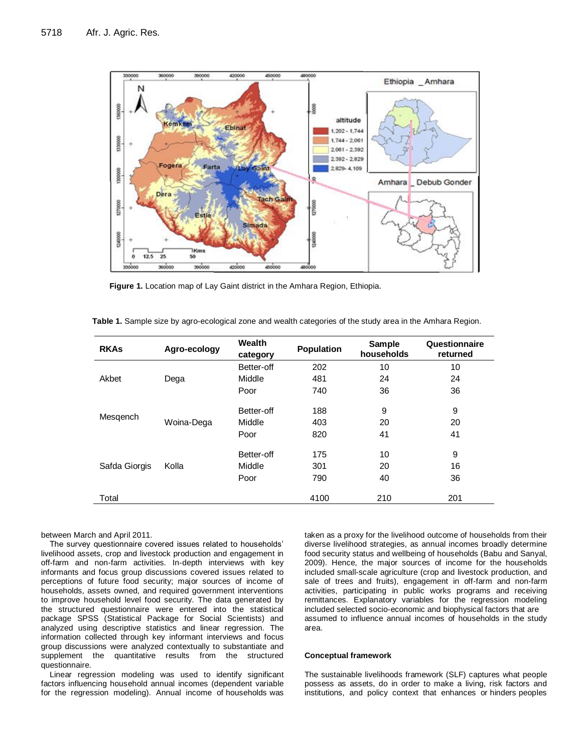

**Figure 1.** Location map of Lay Gaint district in the Amhara Region, Ethiopia.

| <b>RKAs</b>   | Agro-ecology | Wealth<br>category | <b>Population</b> | <b>Sample</b><br>households | Questionnaire<br>returned |
|---------------|--------------|--------------------|-------------------|-----------------------------|---------------------------|
|               |              | Better-off         | 202               | 10                          | 10                        |
| Akbet         | Dega         | Middle             | 481               | 24                          | 24                        |
|               |              | Poor               | 740               | 36                          | 36                        |
|               |              | Better-off         | 188               | 9                           | 9                         |
| Mesgench      | Woina-Dega   | Middle             | 403               | 20                          | 20                        |
|               |              | Poor               | 820               | 41                          | 41                        |
|               |              | Better-off         | 175               | 10                          | 9                         |
| Safda Giorgis | Kolla        | Middle             | 301               | 20                          | 16                        |
|               |              | Poor               | 790               | 40                          | 36                        |
| Total         |              |                    | 4100              | 210                         | 201                       |

**Table 1.** Sample size by agro-ecological zone and wealth categories of the study area in the Amhara Region.

#### between March and April 2011.

The survey questionnaire covered issues related to households' livelihood assets, crop and livestock production and engagement in off-farm and non-farm activities. In-depth interviews with key informants and focus group discussions covered issues related to perceptions of future food security; major sources of income of households, assets owned, and required government interventions to improve household level food security. The data generated by the structured questionnaire were entered into the statistical package SPSS (Statistical Package for Social Scientists) and analyzed using descriptive statistics and linear regression. The information collected through key informant interviews and focus group discussions were analyzed contextually to substantiate and supplement the quantitative results from the structured questionnaire.

Linear regression modeling was used to identify significant factors influencing household annual incomes (dependent variable for the regression modeling). Annual income of households was taken as a proxy for the livelihood outcome of households from their diverse livelihood strategies, as annual incomes broadly determine food security status and wellbeing of households (Babu and Sanyal, 2009). Hence, the major sources of income for the households included small-scale agriculture (crop and livestock production, and sale of trees and fruits), engagement in off-farm and non-farm activities, participating in public works programs and receiving remittances. Explanatory variables for the regression modeling included selected socio-economic and biophysical factors that are assumed to influence annual incomes of households in the study area.

#### **Conceptual framework**

The sustainable livelihoods framework (SLF) captures what people possess as assets, do in order to make a living, risk factors and institutions, and policy context that enhances or hinders peoples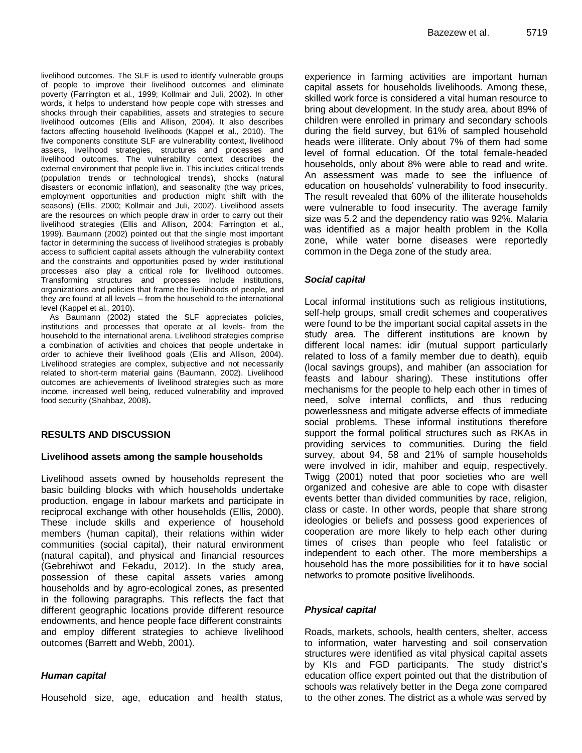livelihood outcomes. The SLF is used to identify vulnerable groups of people to improve their livelihood outcomes and eliminate poverty (Farrington et al., 1999; Kollmair and Juli, 2002). In other words, it helps to understand how people cope with stresses and shocks through their capabilities, assets and strategies to secure livelihood outcomes (Ellis and Allison, 2004). It also describes factors affecting household livelihoods (Kappel et al., 2010). The five components constitute SLF are vulnerability context, livelihood assets, livelihood strategies, structures and processes and livelihood outcomes. The vulnerability context describes the external environment that people live in. This includes critical trends (population trends or technological trends), shocks (natural disasters or economic inflation), and seasonality (the way prices, employment opportunities and production might shift with the seasons) (Ellis, 2000; Kollmair and Juli, 2002). Livelihood assets are the resources on which people draw in order to carry out their livelihood strategies (Ellis and Allison, 2004; Farrington et al., 1999). Baumann (2002) pointed out that the single most important factor in determining the success of livelihood strategies is probably access to sufficient capital assets although the vulnerability context and the constraints and opportunities posed by wider institutional processes also play a critical role for livelihood outcomes. Transforming structures and processes include institutions, organizations and policies that frame the livelihoods of people, and they are found at all levels – from the household to the international level (Kappel et al., 2010).

As Baumann (2002) stated the SLF appreciates policies, institutions and processes that operate at all levels- from the household to the international arena. Livelihood strategies comprise a combination of activities and choices that people undertake in order to achieve their livelihood goals (Ellis and Allison, 2004). Livelihood strategies are complex, subjective and not necessarily related to short-term material gains (Baumann, 2002). Livelihood outcomes are achievements of livelihood strategies such as more income, increased well being, reduced vulnerability and improved food security (Shahbaz, 2008)**.** 

#### **RESULTS AND DISCUSSION**

#### **Livelihood assets among the sample households**

Livelihood assets owned by households represent the basic building blocks with which households undertake production, engage in labour markets and participate in reciprocal exchange with other households (Ellis, 2000). These include skills and experience of household members (human capital), their relations within wider communities (social capital), their natural environment (natural capital), and physical and financial resources (Gebrehiwot and Fekadu, 2012). In the study area, possession of these capital assets varies among households and by agro-ecological zones, as presented in the following paragraphs. This reflects the fact that different geographic locations provide different resource endowments, and hence people face different constraints and employ different strategies to achieve livelihood outcomes (Barrett and Webb, 2001).

#### *Human capital*

Household size, age, education and health status,

experience in farming activities are important human capital assets for households livelihoods. Among these, skilled work force is considered a vital human resource to bring about development. In the study area, about 89% of children were enrolled in primary and secondary schools during the field survey, but 61% of sampled household heads were illiterate. Only about 7% of them had some level of formal education. Of the total female-headed households, only about 8% were able to read and write. An assessment was made to see the influence of education on households' vulnerability to food insecurity. The result revealed that 60% of the illiterate households were vulnerable to food insecurity. The average family size was 5.2 and the dependency ratio was 92%. Malaria was identified as a major health problem in the Kolla zone, while water borne diseases were reportedly common in the Dega zone of the study area.

## *Social capital*

Local informal institutions such as religious institutions, self-help groups, small credit schemes and cooperatives were found to be the important social capital assets in the study area. The different institutions are known by different local names: idir (mutual support particularly related to loss of a family member due to death), equib (local savings groups), and mahiber (an association for feasts and labour sharing). These institutions offer mechanisms for the people to help each other in times of need, solve internal conflicts, and thus reducing powerlessness and mitigate adverse effects of immediate social problems. These informal institutions therefore support the formal political structures such as RKAs in providing services to communities. During the field survey, about 94, 58 and 21% of sample households were involved in idir, mahiber and equip, respectively. Twigg (2001) noted that poor societies who are well organized and cohesive are able to cope with disaster events better than divided communities by race, religion, class or caste. In other words, people that share strong ideologies or beliefs and possess good experiences of cooperation are more likely to help each other during times of crises than people who feel fatalistic or independent to each other. The more memberships a household has the more possibilities for it to have social networks to promote positive livelihoods.

#### *Physical capital*

Roads, markets, schools, health centers, shelter, access to information, water harvesting and soil conservation structures were identified as vital physical capital assets by KIs and FGD participants. The study district's education office expert pointed out that the distribution of schools was relatively better in the Dega zone compared to the other zones. The district as a whole was served by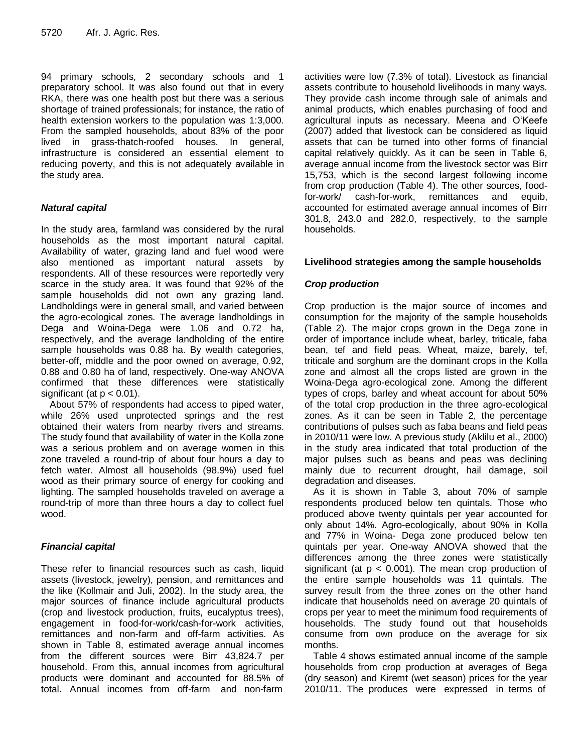94 primary schools, 2 secondary schools and 1 preparatory school. It was also found out that in every RKA, there was one health post but there was a serious shortage of trained professionals; for instance, the ratio of health extension workers to the population was 1:3,000. From the sampled households, about 83% of the poor lived in grass-thatch-roofed houses. In general, infrastructure is considered an essential element to reducing poverty, and this is not adequately available in the study area.

## *Natural capital*

In the study area, farmland was considered by the rural households as the most important natural capital. Availability of water, grazing land and fuel wood were also mentioned as important natural assets by respondents. All of these resources were reportedly very scarce in the study area. It was found that 92% of the sample households did not own any grazing land. Landholdings were in general small, and varied between the agro-ecological zones. The average landholdings in Dega and Woina-Dega were 1.06 and 0.72 ha, respectively, and the average landholding of the entire sample households was 0.88 ha. By wealth categories, better-off, middle and the poor owned on average, 0.92, 0.88 and 0.80 ha of land, respectively. One-way ANOVA confirmed that these differences were statistically significant (at  $p < 0.01$ ).

About 57% of respondents had access to piped water, while 26% used unprotected springs and the rest obtained their waters from nearby rivers and streams. The study found that availability of water in the Kolla zone was a serious problem and on average women in this zone traveled a round-trip of about four hours a day to fetch water. Almost all households (98.9%) used fuel wood as their primary source of energy for cooking and lighting. The sampled households traveled on average a round-trip of more than three hours a day to collect fuel wood.

## *Financial capital*

These refer to financial resources such as cash, liquid assets (livestock, jewelry), pension, and remittances and the like (Kollmair and Juli, 2002). In the study area, the major sources of finance include agricultural products (crop and livestock production, fruits, eucalyptus trees), engagement in food-for-work/cash-for-work activities, remittances and non-farm and off-farm activities. As shown in Table 8, estimated average annual incomes from the different sources were Birr 43,824.7 per household. From this, annual incomes from agricultural products were dominant and accounted for 88.5% of total. Annual incomes from off-farm and non-farm

activities were low (7.3% of total). Livestock as financial assets contribute to household livelihoods in many ways. They provide cash income through sale of animals and animal products, which enables purchasing of food and agricultural inputs as necessary. Meena and O'Keefe (2007) added that livestock can be considered as liquid assets that can be turned into other forms of financial capital relatively quickly. As it can be seen in Table 6, average annual income from the livestock sector was Birr 15,753, which is the second largest following income from crop production (Table 4). The other sources, foodfor-work/ cash-for-work, remittances and equib, accounted for estimated average annual incomes of Birr 301.8, 243.0 and 282.0, respectively, to the sample households.

## **Livelihood strategies among the sample households**

## *Crop production*

Crop production is the major source of incomes and consumption for the majority of the sample households (Table 2). The major crops grown in the Dega zone in order of importance include wheat, barley, triticale, faba bean, tef and field peas. Wheat, maize, barely, tef, triticale and sorghum are the dominant crops in the Kolla zone and almost all the crops listed are grown in the Woina-Dega agro-ecological zone. Among the different types of crops, barley and wheat account for about 50% of the total crop production in the three agro-ecological zones. As it can be seen in Table 2, the percentage contributions of pulses such as faba beans and field peas in 2010/11 were low. A previous study (Aklilu et al., 2000) in the study area indicated that total production of the major pulses such as beans and peas was declining mainly due to recurrent drought, hail damage, soil degradation and diseases.

As it is shown in Table 3, about 70% of sample respondents produced below ten quintals. Those who produced above twenty quintals per year accounted for only about 14%. Agro-ecologically, about 90% in Kolla and 77% in Woina- Dega zone produced below ten quintals per year. One-way ANOVA showed that the differences among the three zones were statistically significant (at  $p < 0.001$ ). The mean crop production of the entire sample households was 11 quintals. The survey result from the three zones on the other hand indicate that households need on average 20 quintals of crops per year to meet the minimum food requirements of households. The study found out that households consume from own produce on the average for six months.

Table 4 shows estimated annual income of the sample households from crop production at averages of Bega (dry season) and Kiremt (wet season) prices for the year 2010/11. The produces were expressed in terms of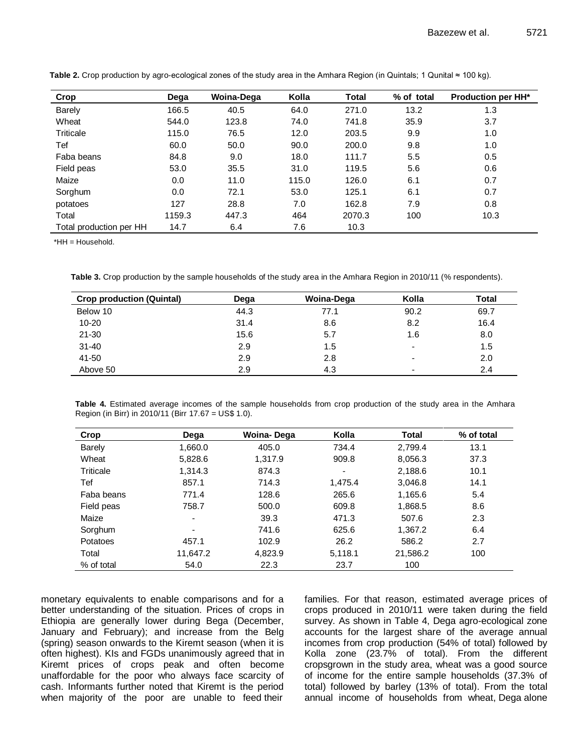| Crop                    | Dega   | <b>Woina-Dega</b> | Kolla | Total  | % of total | <b>Production per HH*</b> |
|-------------------------|--------|-------------------|-------|--------|------------|---------------------------|
| Barely                  | 166.5  | 40.5              | 64.0  | 271.0  | 13.2       | 1.3                       |
| Wheat                   | 544.0  | 123.8             | 74.0  | 741.8  | 35.9       | 3.7                       |
| Triticale               | 115.0  | 76.5              | 12.0  | 203.5  | 9.9        | 1.0                       |
| Tef                     | 60.0   | 50.0              | 90.0  | 200.0  | 9.8        | 1.0                       |
| Faba beans              | 84.8   | 9.0               | 18.0  | 111.7  | 5.5        | 0.5                       |
| Field peas              | 53.0   | 35.5              | 31.0  | 119.5  | 5.6        | 0.6                       |
| Maize                   | 0.0    | 11.0              | 115.0 | 126.0  | 6.1        | 0.7                       |
| Sorghum                 | 0.0    | 72.1              | 53.0  | 125.1  | 6.1        | 0.7                       |
| potatoes                | 127    | 28.8              | 7.0   | 162.8  | 7.9        | 0.8                       |
| Total                   | 1159.3 | 447.3             | 464   | 2070.3 | 100        | 10.3                      |
| Total production per HH | 14.7   | 6.4               | 7.6   | 10.3   |            |                           |

**Table 2.** Crop production by agro-ecological zones of the study area in the Amhara Region (in Quintals; 1 Qunital ≈ 100 kg).

\*HH = Household.

**Table 3.** Crop production by the sample households of the study area in the Amhara Region in 2010/11 (% respondents).

| <b>Crop production (Quintal)</b> | Dega | Woina-Dega | Kolla | <b>Total</b> |
|----------------------------------|------|------------|-------|--------------|
| Below 10                         | 44.3 | 77.1       | 90.2  | 69.7         |
| $10 - 20$                        | 31.4 | 8.6        | 8.2   | 16.4         |
| $21 - 30$                        | 15.6 | 5.7        | 1.6   | 8.0          |
| $31 - 40$                        | 2.9  | 1.5        | -     | 1.5          |
| 41-50                            | 2.9  | 2.8        | -     | 2.0          |
| Above 50                         | 2.9  | 4.3        |       | 2.4          |

**Table 4.** Estimated average incomes of the sample households from crop production of the study area in the Amhara Region (in Birr) in 2010/11 (Birr 17.67 = US\$ 1.0).

| Crop       | Dega           | Woina-Dega | Kolla   | <b>Total</b> | % of total |
|------------|----------------|------------|---------|--------------|------------|
| Barely     | 1,660.0        | 405.0      | 734.4   | 2,799.4      | 13.1       |
| Wheat      | 5,828.6        | 1,317.9    | 909.8   | 8,056.3      | 37.3       |
| Triticale  | 1,314.3        | 874.3      | Ξ.      | 2,188.6      | 10.1       |
| Tef        | 857.1          | 714.3      | 1,475.4 | 3,046.8      | 14.1       |
| Faba beans | 771.4          | 128.6      | 265.6   | 1,165.6      | 5.4        |
| Field peas | 758.7          | 500.0      | 609.8   | 1,868.5      | 8.6        |
| Maize      | $\blacksquare$ | 39.3       | 471.3   | 507.6        | 2.3        |
| Sorghum    | $\overline{a}$ | 741.6      | 625.6   | 1,367.2      | 6.4        |
| Potatoes   | 457.1          | 102.9      | 26.2    | 586.2        | 2.7        |
| Total      | 11,647.2       | 4,823.9    | 5,118.1 | 21,586.2     | 100        |
| % of total | 54.0           | 22.3       | 23.7    | 100          |            |

monetary equivalents to enable comparisons and for a better understanding of the situation. Prices of crops in Ethiopia are generally lower during Bega (December, January and February); and increase from the Belg (spring) season onwards to the Kiremt season (when it is often highest). KIs and FGDs unanimously agreed that in Kiremt prices of crops peak and often become unaffordable for the poor who always face scarcity of cash. Informants further noted that Kiremt is the period when majority of the poor are unable to feed their families. For that reason, estimated average prices of crops produced in 2010/11 were taken during the field survey. As shown in Table 4, Dega agro-ecological zone accounts for the largest share of the average annual incomes from crop production (54% of total) followed by Kolla zone (23.7% of total). From the different cropsgrown in the study area, wheat was a good source of income for the entire sample households (37.3% of total) followed by barley (13% of total). From the total annual income of households from wheat, Dega alone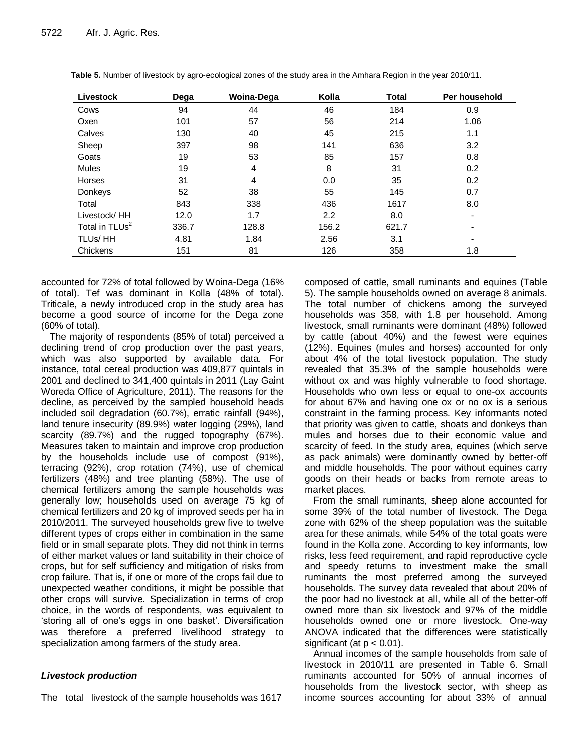| Livestock                  | Dega  | Woina-Dega     | Kolla            | <b>Total</b> | Per household |
|----------------------------|-------|----------------|------------------|--------------|---------------|
| Cows                       | 94    | 44             | 46               | 184          | 0.9           |
| Oxen                       | 101   | 57             | 56               | 214          | 1.06          |
| Calves                     | 130   | 40             | 45               | 215          | 1.1           |
| Sheep                      | 397   | 98             | 141              | 636          | 3.2           |
| Goats                      | 19    | 53             | 85               | 157          | 0.8           |
| Mules                      | 19    | 4              | 8                | 31           | 0.2           |
| Horses                     | 31    | $\overline{4}$ | 0.0              | 35           | 0.2           |
| Donkeys                    | 52    | 38             | 55               | 145          | 0.7           |
| Total                      | 843   | 338            | 436              | 1617         | 8.0           |
| Livestock/HH               | 12.0  | 1.7            | $2.2\phantom{0}$ | 8.0          | -             |
| Total in TLUs <sup>2</sup> | 336.7 | 128.8          | 156.2            | 621.7        |               |
| TLUs/HH                    | 4.81  | 1.84           | 2.56             | 3.1          | ۰             |
| Chickens                   | 151   | 81             | 126              | 358          | 1.8           |

| Table 5. Number of livestock by agro-ecological zones of the study area in the Amhara Region in the year 2010/11. |  |  |
|-------------------------------------------------------------------------------------------------------------------|--|--|
|-------------------------------------------------------------------------------------------------------------------|--|--|

accounted for 72% of total followed by Woina-Dega (16% of total). Tef was dominant in Kolla (48% of total). Triticale, a newly introduced crop in the study area has become a good source of income for the Dega zone (60% of total).

The majority of respondents (85% of total) perceived a declining trend of crop production over the past years, which was also supported by available data. For instance, total cereal production was 409,877 quintals in 2001 and declined to 341,400 quintals in 2011 (Lay Gaint Woreda Office of Agriculture, 2011). The reasons for the decline, as perceived by the sampled household heads included soil degradation (60.7%), erratic rainfall (94%), land tenure insecurity (89.9%) water logging (29%), land scarcity (89.7%) and the rugged topography (67%). Measures taken to maintain and improve crop production by the households include use of compost (91%), terracing (92%), crop rotation (74%), use of chemical fertilizers (48%) and tree planting (58%). The use of chemical fertilizers among the sample households was generally low; households used on average 75 kg of chemical fertilizers and 20 kg of improved seeds per ha in 2010/2011. The surveyed households grew five to twelve different types of crops either in combination in the same field or in small separate plots. They did not think in terms of either market values or land suitability in their choice of crops, but for self sufficiency and mitigation of risks from crop failure. That is, if one or more of the crops fail due to unexpected weather conditions, it might be possible that other crops will survive. Specialization in terms of crop choice, in the words of respondents, was equivalent to 'storing all of one's eggs in one basket'. Diversification was therefore a preferred livelihood strategy to specialization among farmers of the study area.

#### *Livestock production*

The total livestock of the sample households was 1617

composed of cattle, small ruminants and equines (Table 5). The sample households owned on average 8 animals. The total number of chickens among the surveyed households was 358, with 1.8 per household. Among livestock, small ruminants were dominant (48%) followed by cattle (about 40%) and the fewest were equines (12%). Equines (mules and horses) accounted for only about 4% of the total livestock population. The study revealed that 35.3% of the sample households were without ox and was highly vulnerable to food shortage. Households who own less or equal to one-ox accounts for about 67% and having one ox or no ox is a serious constraint in the farming process. Key informants noted that priority was given to cattle, shoats and donkeys than mules and horses due to their economic value and scarcity of feed. In the study area, equines (which serve as pack animals) were dominantly owned by better-off and middle households. The poor without equines carry goods on their heads or backs from remote areas to market places.

From the small ruminants, sheep alone accounted for some 39% of the total number of livestock. The Dega zone with 62% of the sheep population was the suitable area for these animals, while 54% of the total goats were found in the Kolla zone. According to key informants, low risks, less feed requirement, and rapid reproductive cycle and speedy returns to investment make the small ruminants the most preferred among the surveyed households. The survey data revealed that about 20% of the poor had no livestock at all, while all of the better-off owned more than six livestock and 97% of the middle households owned one or more livestock. One-way ANOVA indicated that the differences were statistically significant (at  $p < 0.01$ ).

Annual incomes of the sample households from sale of livestock in 2010/11 are presented in Table 6. Small ruminants accounted for 50% of annual incomes of households from the livestock sector, with sheep as income sources accounting for about 33% of annual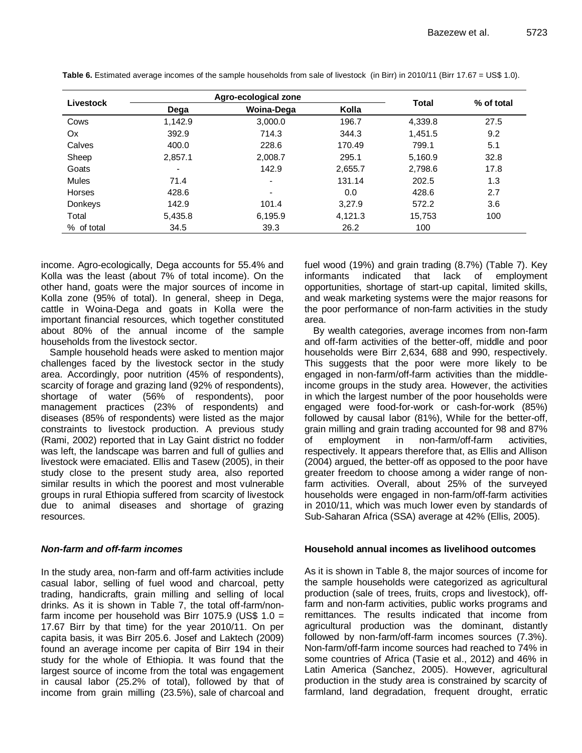| Livestock      |         | Agro-ecological zone     |         | <b>Total</b> | % of total |  |
|----------------|---------|--------------------------|---------|--------------|------------|--|
|                | Dega    | <b>Woina-Dega</b>        | Kolla   |              |            |  |
| Cows           | 1,142.9 | 3,000.0                  | 196.7   | 4,339.8      | 27.5       |  |
| Ox             | 392.9   | 714.3                    | 344.3   | 1,451.5      | 9.2        |  |
| Calves         | 400.0   | 228.6                    | 170.49  | 799.1        | 5.1        |  |
| Sheep          | 2,857.1 | 2,008.7                  | 295.1   | 5,160.9      | 32.8       |  |
| Goats          | ۰       | 142.9                    | 2,655.7 | 2,798.6      | 17.8       |  |
| Mules          | 71.4    | $\overline{\phantom{0}}$ | 131.14  | 202.5        | 1.3        |  |
| Horses         | 428.6   | $\blacksquare$           | 0.0     | 428.6        | 2.7        |  |
| <b>Donkeys</b> | 142.9   | 101.4                    | 3.27.9  | 572.2        | 3.6        |  |
| Total          | 5,435.8 | 6,195.9                  | 4,121.3 | 15,753       | 100        |  |
| % of total     | 34.5    | 39.3                     | 26.2    | 100          |            |  |

**Table 6.** Estimated average incomes of the sample households from sale of livestock (in Birr) in 2010/11 (Birr 17.67 = US\$ 1.0).

income. Agro-ecologically, Dega accounts for 55.4% and Kolla was the least (about 7% of total income). On the other hand, goats were the major sources of income in Kolla zone (95% of total). In general, sheep in Dega, cattle in Woina-Dega and goats in Kolla were the important financial resources, which together constituted about 80% of the annual income of the sample households from the livestock sector.

Sample household heads were asked to mention major challenges faced by the livestock sector in the study area. Accordingly, poor nutrition (45% of respondents), scarcity of forage and grazing land (92% of respondents), shortage of water (56% of respondents), poor management practices (23% of respondents) and diseases (85% of respondents) were listed as the major constraints to livestock production. A previous study (Rami, 2002) reported that in Lay Gaint district no fodder was left, the landscape was barren and full of gullies and livestock were emaciated. Ellis and Tasew (2005), in their study close to the present study area, also reported similar results in which the poorest and most vulnerable groups in rural Ethiopia suffered from scarcity of livestock due to animal diseases and shortage of grazing resources.

## *Non-farm and off-farm incomes*

In the study area, non-farm and off-farm activities include casual labor, selling of fuel wood and charcoal, petty trading, handicrafts, grain milling and selling of local drinks. As it is shown in Table 7, the total off-farm/nonfarm income per household was Birr 1075.9 (US\$  $1.0 =$ 17.67 Birr by that time) for the year 2010/11. On per capita basis, it was Birr 205.6. Josef and Laktech (2009) found an average income per capita of Birr 194 in their study for the whole of Ethiopia. It was found that the largest source of income from the total was engagement in causal labor (25.2% of total), followed by that of income from grain milling (23.5%), sale of charcoal and

fuel wood (19%) and grain trading (8.7%) (Table 7). Key informants indicated that lack of employment opportunities, shortage of start-up capital, limited skills, and weak marketing systems were the major reasons for the poor performance of non-farm activities in the study area.

By wealth categories, average incomes from non-farm and off-farm activities of the better-off, middle and poor households were Birr 2,634, 688 and 990, respectively. This suggests that the poor were more likely to be engaged in non-farm/off-farm activities than the middleincome groups in the study area. However, the activities in which the largest number of the poor households were engaged were food-for-work or cash-for-work (85%) followed by causal labor (81%), While for the better-off, grain milling and grain trading accounted for 98 and 87% of employment in non-farm/off-farm activities, respectively. It appears therefore that, as Ellis and Allison (2004) argued, the better-off as opposed to the poor have greater freedom to choose among a wider range of nonfarm activities. Overall, about 25% of the surveyed households were engaged in non-farm/off-farm activities in 2010/11, which was much lower even by standards of Sub-Saharan Africa (SSA) average at 42% (Ellis, 2005).

#### **Household annual incomes as livelihood outcomes**

As it is shown in Table 8, the major sources of income for the sample households were categorized as agricultural production (sale of trees, fruits, crops and livestock), offfarm and non-farm activities, public works programs and remittances. The results indicated that income from agricultural production was the dominant, distantly followed by non-farm/off-farm incomes sources (7.3%). Non-farm/off-farm income sources had reached to 74% in some countries of Africa (Tasie et al., 2012) and 46% in Latin America (Sanchez, 2005). However, agricultural production in the study area is constrained by scarcity of farmland, land degradation, frequent drought, erratic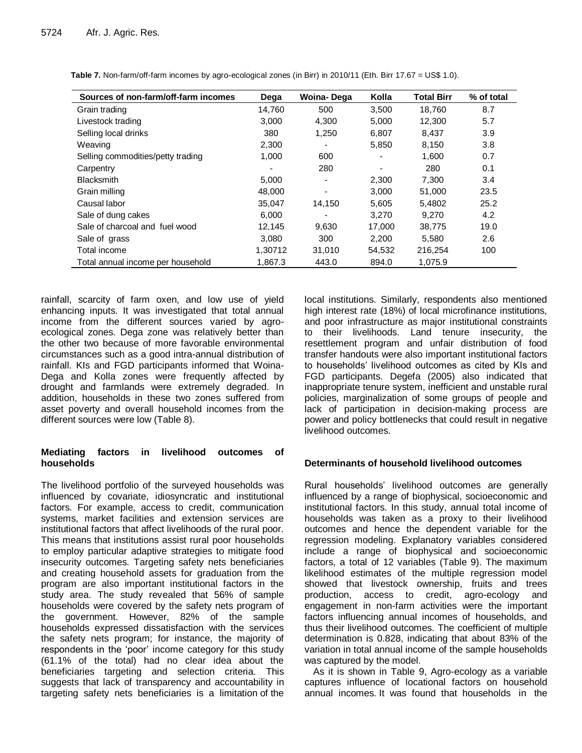| Sources of non-farm/off-farm incomes | Dega    | <b>Woina-Dega</b>        | Kolla  | <b>Total Birr</b> | % of total |
|--------------------------------------|---------|--------------------------|--------|-------------------|------------|
| Grain trading                        | 14,760  | 500                      | 3,500  | 18.760            | 8.7        |
| Livestock trading                    | 3,000   | 4.300                    | 5.000  | 12,300            | 5.7        |
| Selling local drinks                 | 380     | 1.250                    | 6.807  | 8.437             | 3.9        |
| Weaving                              | 2,300   |                          | 5,850  | 8,150             | 3.8        |
| Selling commodities/petty trading    | 1,000   | 600                      |        | 1,600             | 0.7        |
| Carpentry                            |         | 280                      |        | 280               | 0.1        |
| <b>Blacksmith</b>                    | 5,000   | $\overline{\phantom{a}}$ | 2,300  | 7.300             | 3.4        |
| Grain milling                        | 48,000  | $\overline{\phantom{a}}$ | 3,000  | 51,000            | 23.5       |
| Causal labor                         | 35,047  | 14,150                   | 5,605  | 5.4802            | 25.2       |
| Sale of dung cakes                   | 6,000   |                          | 3,270  | 9.270             | 4.2        |
| Sale of charcoal and fuel wood       | 12,145  | 9,630                    | 17,000 | 38,775            | 19.0       |
| Sale of grass                        | 3.080   | 300                      | 2,200  | 5.580             | 2.6        |
| Total income                         | 1,30712 | 31,010                   | 54,532 | 216,254           | 100        |
| Total annual income per household    | 1,867.3 | 443.0                    | 894.0  | 1,075.9           |            |

**Table 7.** Non-farm/off-farm incomes by agro-ecological zones (in Birr) in 2010/11 (Eth. Birr 17.67 = US\$ 1.0).

rainfall, scarcity of farm oxen, and low use of yield enhancing inputs. It was investigated that total annual income from the different sources varied by agroecological zones. Dega zone was relatively better than the other two because of more favorable environmental circumstances such as a good intra-annual distribution of rainfall. KIs and FGD participants informed that Woina-Dega and Kolla zones were frequently affected by drought and farmlands were extremely degraded. In addition, households in these two zones suffered from asset poverty and overall household incomes from the different sources were low (Table 8).

## **Mediating factors in livelihood outcomes of households**

The livelihood portfolio of the surveyed households was influenced by covariate, idiosyncratic and institutional factors. For example, access to credit, communication systems, market facilities and extension services are institutional factors that affect livelihoods of the rural poor. This means that institutions assist rural poor households to employ particular adaptive strategies to mitigate food insecurity outcomes. Targeting safety nets beneficiaries and creating household assets for graduation from the program are also important institutional factors in the study area. The study revealed that 56% of sample households were covered by the safety nets program of the government. However, 82% of the sample households expressed dissatisfaction with the services the safety nets program; for instance, the majority of respondents in the 'poor' income category for this study (61.1% of the total) had no clear idea about the beneficiaries targeting and selection criteria. This suggests that lack of transparency and accountability in targeting safety nets beneficiaries is a limitation of the

local institutions. Similarly, respondents also mentioned high interest rate (18%) of local microfinance institutions, and poor infrastructure as major institutional constraints to their livelihoods. Land tenure insecurity, the resettlement program and unfair distribution of food transfer handouts were also important institutional factors to households' livelihood outcomes as cited by KIs and FGD participants. Degefa (2005) also indicated that inappropriate tenure system, inefficient and unstable rural policies, marginalization of some groups of people and lack of participation in decision-making process are power and policy bottlenecks that could result in negative livelihood outcomes.

## **Determinants of household livelihood outcomes**

Rural households' livelihood outcomes are generally influenced by a range of biophysical, socioeconomic and institutional factors. In this study, annual total income of households was taken as a proxy to their livelihood outcomes and hence the dependent variable for the regression modeling. Explanatory variables considered include a range of biophysical and socioeconomic factors, a total of 12 variables (Table 9). The maximum likelihood estimates of the multiple regression model showed that livestock ownership, fruits and trees production, access to credit, agro-ecology and engagement in non-farm activities were the important factors influencing annual incomes of households, and thus their livelihood outcomes. The coefficient of multiple determination is 0.828, indicating that about 83% of the variation in total annual income of the sample households was captured by the model.

As it is shown in Table 9, Agro-ecology as a variable captures influence of locational factors on household annual incomes. It was found that households in the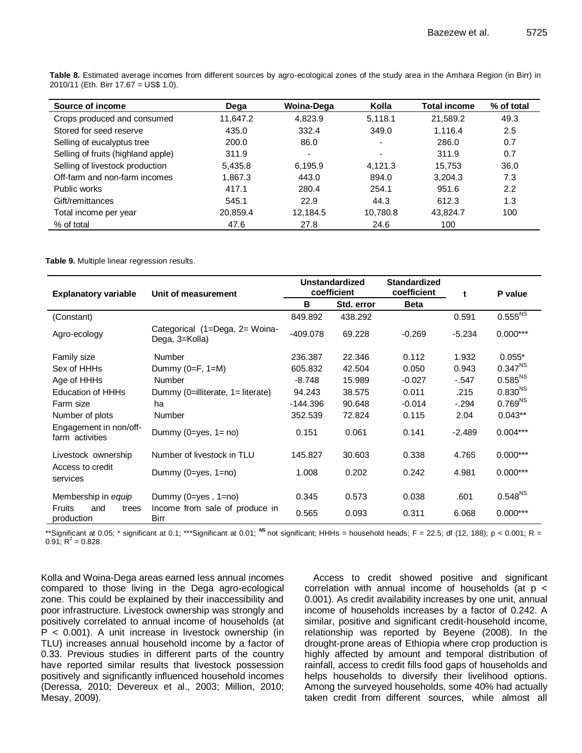| Source of income                   | Dega     | Woina-Dega               | Kolla                    | <b>Total income</b> | % of total |
|------------------------------------|----------|--------------------------|--------------------------|---------------------|------------|
| Crops produced and consumed        | 11,647.2 | 4.823.9                  | 5,118.1                  | 21,589.2            | 49.3       |
| Stored for seed reserve            | 435.0    | 332.4                    | 349.0                    | 1.116.4             | 2.5        |
| Selling of eucalyptus tree         | 200.0    | 86.0                     | $\overline{\phantom{a}}$ | 286.0               | 0.7        |
| Selling of fruits (highland apple) | 311.9    | $\overline{\phantom{0}}$ | $\overline{\phantom{a}}$ | 311.9               | 0.7        |
| Selling of livestock production    | 5,435.8  | 6,195.9                  | 4,121.3                  | 15.753              | 36.0       |
| Off-farm and non-farm incomes      | 1,867.3  | 443.0                    | 894.0                    | 3.204.3             | 7.3        |
| Public works                       | 417.1    | 280.4                    | 254.1                    | 951.6               | 2.2        |
| Gift/remittances                   | 545.1    | 22.9                     | 44.3                     | 612.3               | 1.3        |
| Total income per year              | 20,859.4 | 12,184.5                 | 10,780.8                 | 43,824.7            | 100        |
| % of total                         | 47.6     | 27.8                     | 24.6                     | 100                 |            |

**Table 8.** Estimated average incomes from different sources by agro-ecological zones of the study area in the Amhara Region (in Birr) in 2010/11 (Eth. Birr 17.67 = US\$ 1.0).

**Table 9.** Multiple linear regression results.

| <b>Explanatory variable</b>                 | Unit of measurement                              | <b>Unstandardized</b><br>coefficient |            | <b>Standardized</b><br>coefficient | t        | P value         |
|---------------------------------------------|--------------------------------------------------|--------------------------------------|------------|------------------------------------|----------|-----------------|
|                                             |                                                  | в                                    | Std. error | <b>Beta</b>                        |          |                 |
| (Constant)                                  |                                                  | 849.892                              | 438.292    |                                    | 0.591    | $0.555^{N_{S}}$ |
| Agro-ecology                                | Categorical (1=Dega, 2= Woina-<br>Dega, 3=Kolla) | $-409.078$                           | 69.228     | $-0.269$                           | $-5.234$ | $0.000***$      |
| <b>Family size</b>                          | <b>Number</b>                                    | 236.387                              | 22.346     | 0.112                              | 1.932    | $0.055*$        |
| Sex of HHHs                                 | Dummy $(0=F, 1=M)$                               | 605.832                              | 42.504     | 0.050                              | 0.943    | $0.347^{NS}$    |
| Age of HHHs                                 | <b>Number</b>                                    | $-8.748$                             | 15.989     | $-0.027$                           | $-.547$  | $0.585^{NS}$    |
| <b>Education of HHHs</b>                    | Dummy (0=illiterate, 1= literate)                | 94.243                               | 38.575     | 0.011                              | .215     | $0.830^{NS}$    |
| Farm size                                   | ha                                               | -144.396                             | 90.648     | $-0.014$                           | $-.294$  | $0.769^{NS}$    |
| Number of plots                             | <b>Number</b>                                    | 352.539                              | 72.824     | 0.115                              | 2.04     | $0.043**$       |
| Engagement in non/off-<br>farm activities   | Dummy (0=yes, $1 = no$ )                         | 0.151                                | 0.061      | 0.141                              | $-2.489$ | $0.004***$      |
| Livestock ownership                         | Number of livestock in TLU                       | 145.827                              | 30.603     | 0.338                              | 4.765    | $0.000***$      |
| Access to credit<br>services                | Dummy (0=yes, 1=no)                              | 1.008                                | 0.202      | 0.242                              | 4.981    | $0.000***$      |
| Membership in equip                         | Dummy $(0 = yes, 1 = no)$                        | 0.345                                | 0.573      | 0.038                              | .601     | $0.548^{NS}$    |
| <b>Fruits</b><br>and<br>trees<br>production | Income from sale of produce in<br>Birr           | 0.565                                | 0.093      | 0.311                              | 6.068    | $0.000***$      |

\*\*Significant at 0.05; \* significant at 0.1; \*\*\*Significant at 0.01; <sup>NS</sup> not significant; HHHs = household heads; F = 22.5; df (12, 188); p < 0.001; R =  $0.91$ ; R<sup>2</sup> = 0.828.

Kolla and Woina-Dega areas earned less annual incomes compared to those living in the Dega agro-ecological zone. This could be explained by their inaccessibility and poor infrastructure. Livestock ownership was strongly and positively correlated to annual income of households (at P < 0.001). A unit increase in livestock ownership (in TLU) increases annual household income by a factor of 0.33. Previous studies in different parts of the country have reported similar results that livestock possession positively and significantly influenced household incomes (Deressa, 2010; Devereux et al., 2003; Million, 2010; Mesay, 2009).

Access to credit showed positive and significant correlation with annual income of households (at  $p <$ 0.001). As credit availability increases by one unit, annual income of households increases by a factor of 0.242. A similar, positive and significant credit-household income, relationship was reported by Beyene (2008). In the drought-prone areas of Ethiopia where crop production is highly affected by amount and temporal distribution of rainfall, access to credit fills food gaps of households and helps households to diversify their livelihood options. Among the surveyed households, some 40% had actually taken credit from different sources, while almost all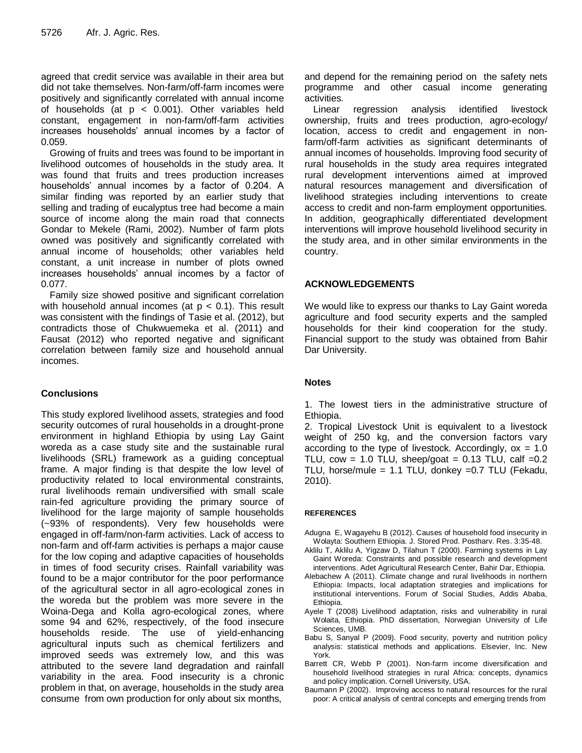agreed that credit service was available in their area but did not take themselves. Non-farm/off-farm incomes were positively and significantly correlated with annual income of households (at  $p < 0.001$ ). Other variables held constant, engagement in non-farm/off-farm activities increases households' annual incomes by a factor of 0.059.

Growing of fruits and trees was found to be important in livelihood outcomes of households in the study area. It was found that fruits and trees production increases households' annual incomes by a factor of 0.204. A similar finding was reported by an earlier study that selling and trading of eucalyptus tree had become a main source of income along the main road that connects Gondar to Mekele (Rami, 2002). Number of farm plots owned was positively and significantly correlated with annual income of households; other variables held constant, a unit increase in number of plots owned increases households' annual incomes by a factor of 0.077.

Family size showed positive and significant correlation with household annual incomes (at  $p < 0.1$ ). This result was consistent with the findings of Tasie et al. (2012), but contradicts those of Chukwuemeka et al. (2011) and Fausat (2012) who reported negative and significant correlation between family size and household annual incomes.

## **Conclusions**

This study explored livelihood assets, strategies and food security outcomes of rural households in a drought-prone environment in highland Ethiopia by using Lay Gaint woreda as a case study site and the sustainable rural livelihoods (SRL) framework as a guiding conceptual frame. A major finding is that despite the low level of productivity related to local environmental constraints, rural livelihoods remain undiversified with small scale rain-fed agriculture providing the primary source of livelihood for the large majority of sample households (~93% of respondents). Very few households were engaged in off-farm/non-farm activities. Lack of access to non-farm and off-farm activities is perhaps a major cause for the low coping and adaptive capacities of households in times of food security crises. Rainfall variability was found to be a major contributor for the poor performance of the agricultural sector in all agro-ecological zones in the woreda but the problem was more severe in the Woina-Dega and Kolla agro-ecological zones, where some 94 and 62%, respectively, of the food insecure households reside. The use of yield-enhancing agricultural inputs such as chemical fertilizers and improved seeds was extremely low, and this was attributed to the severe land degradation and rainfall variability in the area. Food insecurity is a chronic problem in that, on average, households in the study area consume from own production for only about six months,

and depend for the remaining period on the safety nets programme and other casual income generating activities.

Linear regression analysis identified livestock ownership, fruits and trees production, agro-ecology/ location, access to credit and engagement in nonfarm/off-farm activities as significant determinants of annual incomes of households. Improving food security of rural households in the study area requires integrated rural development interventions aimed at improved natural resources management and diversification of livelihood strategies including interventions to create access to credit and non-farm employment opportunities. In addition, geographically differentiated development interventions will improve household livelihood security in the study area, and in other similar environments in the country.

#### **ACKNOWLEDGEMENTS**

We would like to express our thanks to Lay Gaint woreda agriculture and food security experts and the sampled households for their kind cooperation for the study. Financial support to the study was obtained from Bahir Dar University.

#### **Notes**

1. The lowest tiers in the administrative structure of Ethiopia.

2. Tropical Livestock Unit is equivalent to a livestock weight of 250 kg, and the conversion factors vary according to the type of livestock. Accordingly,  $ox = 1.0$ TLU, cow = 1.0 TLU, sheep/goat = 0.13 TLU, calf =  $0.2$ TLU, horse/mule = 1.1 TLU, donkey =0.7 TLU (Fekadu, 2010).

#### **REFERENCES**

- Adugna E, Wagayehu B (2012). Causes of household food insecurity in Wolayta: Southern Ethiopia. J. Stored Prod. Postharv. Res. 3:35-48.
- Aklilu T, Aklilu A, Yigzaw D, Tilahun T (2000). Farming systems in Lay Gaint Woreda: Constraints and possible research and development interventions. Adet Agricultural Research Center, Bahir Dar, Ethiopia.
- Alebachew A (2011). Climate change and rural livelihoods in northern Ethiopia: Impacts, local adaptation strategies and implications for institutional interventions. Forum of Social Studies, Addis Ababa, Ethiopia.
- Ayele T (2008) Livelihood adaptation, risks and vulnerability in rural Wolaita, Ethiopia. PhD dissertation, Norwegian University of Life Sciences, UMB.
- Babu S, Sanyal P (2009). Food security, poverty and nutrition policy analysis: statistical methods and applications. Elsevier, Inc. New York.
- Barrett CR, Webb P (2001). Non-farm income diversification and household livelihood strategies in rural Africa: concepts, dynamics and policy implication. Cornell University, USA.
- Baumann P (2002). Improving access to natural resources for the rural poor: A critical analysis of central concepts and emerging trends from